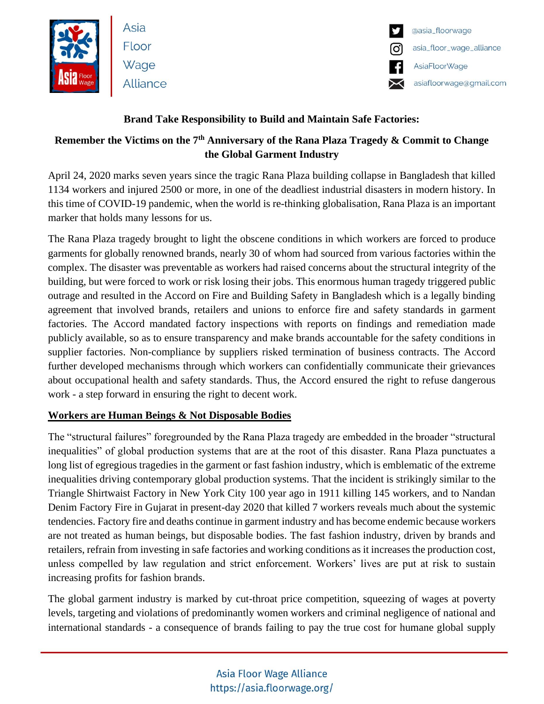

Asia Floor Wage Alliance



### **Brand Take Responsibility to Build and Maintain Safe Factories:**

## **Remember the Victims on the 7th Anniversary of the Rana Plaza Tragedy & Commit to Change the Global Garment Industry**

April 24, 2020 marks seven years since the tragic Rana Plaza building collapse in Bangladesh that killed 1134 workers and injured 2500 or more, in one of the deadliest industrial disasters in modern history. In this time of COVID-19 pandemic, when the world is re-thinking globalisation, Rana Plaza is an important marker that holds many lessons for us.

The Rana Plaza tragedy brought to light the obscene conditions in which workers are forced to produce garments for globally renowned brands, nearly 30 of whom had sourced from various factories within the complex. The disaster was preventable as workers had raised concerns about the structural integrity of the building, but were forced to work or risk losing their jobs. This enormous human tragedy triggered public outrage and resulted in the Accord on Fire and Building Safety in Bangladesh which is a legally binding agreement that involved brands, retailers and unions to enforce fire and safety standards in garment factories. The Accord mandated factory inspections with reports on findings and remediation made publicly available, so as to ensure transparency and make brands accountable for the safety conditions in supplier factories. Non-compliance by suppliers risked termination of business contracts. The Accord further developed mechanisms through which workers can confidentially communicate their grievances about occupational health and safety standards. Thus, the Accord ensured the right to refuse dangerous work - a step forward in ensuring the right to decent work.

### **Workers are Human Beings & Not Disposable Bodies**

The "structural failures" foregrounded by the Rana Plaza tragedy are embedded in the broader "structural inequalities" of global production systems that are at the root of this disaster. Rana Plaza punctuates a long list of egregious tragedies in the garment or fast fashion industry, which is emblematic of the extreme inequalities driving contemporary global production systems. That the incident is strikingly similar to the Triangle Shirtwaist Factory in New York City 100 year ago in 1911 killing 145 workers, and to Nandan Denim Factory Fire in Gujarat in present-day 2020 that killed 7 workers reveals much about the systemic tendencies. Factory fire and deaths continue in garment industry and has become endemic because workers are not treated as human beings, but disposable bodies. The fast fashion industry, driven by brands and retailers, refrain from investing in safe factories and working conditions as it increases the production cost, unless compelled by law regulation and strict enforcement. Workers' lives are put at risk to sustain increasing profits for fashion brands.

The global garment industry is marked by cut-throat price competition, squeezing of wages at poverty levels, targeting and violations of predominantly women workers and criminal negligence of national and international standards - a consequence of brands failing to pay the true cost for humane global supply

# Asia Floor Wage Alliance https://asia.floorwage.org/